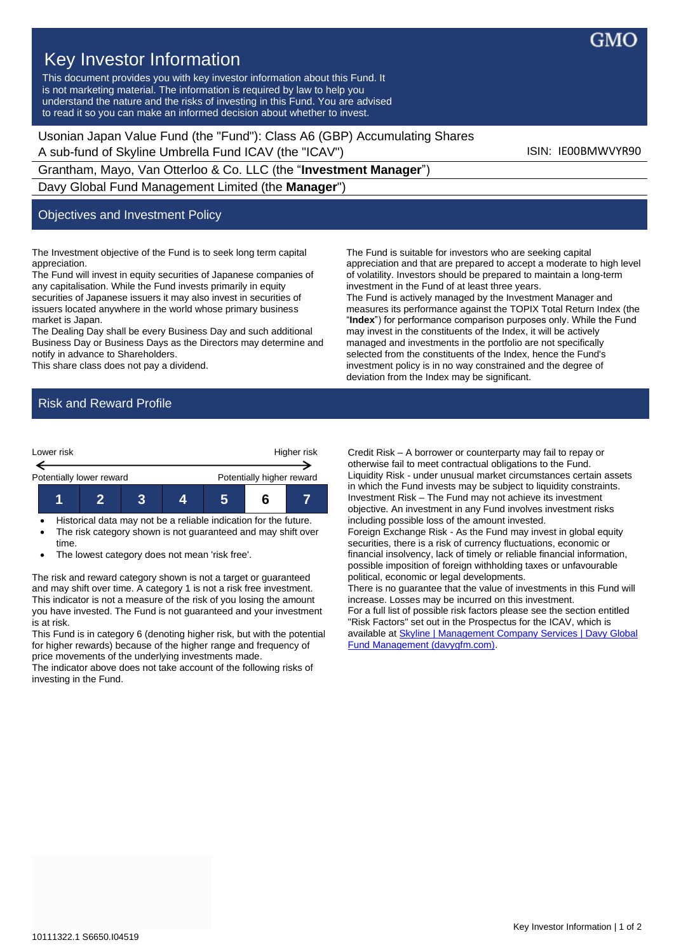

## Key Investor Information

This document provides you with key investor information about this Fund. It is not marketing material. The information is required by law to help you understand the nature and the risks of investing in this Fund. You are advised to read it so you can make an informed decision about whether to invest.

Usonian Japan Value Fund (the "Fund"): Class A6 (GBP) Accumulating Shares A sub-fund of Skyline Umbrella Fund ICAV (the "ICAV") ISIN: IE00BMWVYR90

Grantham, Mayo, Van Otterloo & Co. LLC (the "**Investment Manager**")

Davy Global Fund Management Limited (the **Manager**")

## Objectives and Investment Policy

The Investment objective of the Fund is to seek long term capital appreciation.

The Fund will invest in equity securities of Japanese companies of any capitalisation. While the Fund invests primarily in equity securities of Japanese issuers it may also invest in securities of issuers located anywhere in the world whose primary business market is Japan.

The Dealing Day shall be every Business Day and such additional Business Day or Business Days as the Directors may determine and notify in advance to Shareholders.

This share class does not pay a dividend.

The Fund is suitable for investors who are seeking capital appreciation and that are prepared to accept a moderate to high level of volatility. Investors should be prepared to maintain a long-term investment in the Fund of at least three years. The Fund is actively managed by the Investment Manager and measures its performance against the TOPIX Total Return Index (the "**Index**") for performance comparison purposes only. While the Fund may invest in the constituents of the Index, it will be actively managed and investments in the portfolio are not specifically selected from the constituents of the Index, hence the Fund's investment policy is in no way constrained and the degree of deviation from the Index may be significant.

## Risk and Reward Profile



• Historical data may not be a reliable indication for the future. The risk category shown is not guaranteed and may shift over time.

The lowest category does not mean 'risk free'.

The risk and reward category shown is not a target or guaranteed and may shift over time. A category 1 is not a risk free investment. This indicator is not a measure of the risk of you losing the amount you have invested. The Fund is not guaranteed and your investment is at risk.

This Fund is in category 6 (denoting higher risk, but with the potential for higher rewards) because of the higher range and frequency of price movements of the underlying investments made.

The indicator above does not take account of the following risks of investing in the Fund.

Credit Risk – A borrower or counterparty may fail to repay or otherwise fail to meet contractual obligations to the Fund. Liquidity Risk - under unusual market circumstances certain assets in which the Fund invests may be subject to liquidity constraints. Investment Risk – The Fund may not achieve its investment objective. An investment in any Fund involves investment risks including possible loss of the amount invested.

Foreign Exchange Risk - As the Fund may invest in global equity securities, there is a risk of currency fluctuations, economic or financial insolvency, lack of timely or reliable financial information, possible imposition of foreign withholding taxes or unfavourable political, economic or legal developments.

There is no guarantee that the value of investments in this Fund will increase. Losses may be incurred on this investment. For a full list of possible risk factors please see the section entitled "Risk Factors" set out in the Prospectus for the ICAV, which is available at **Skyline | Management Company Services | Davy Global** [Fund Management \(davygfm.com\).](https://www.davygfm.com/funds-factsheets/management-company-services/ireland/skyline.html)